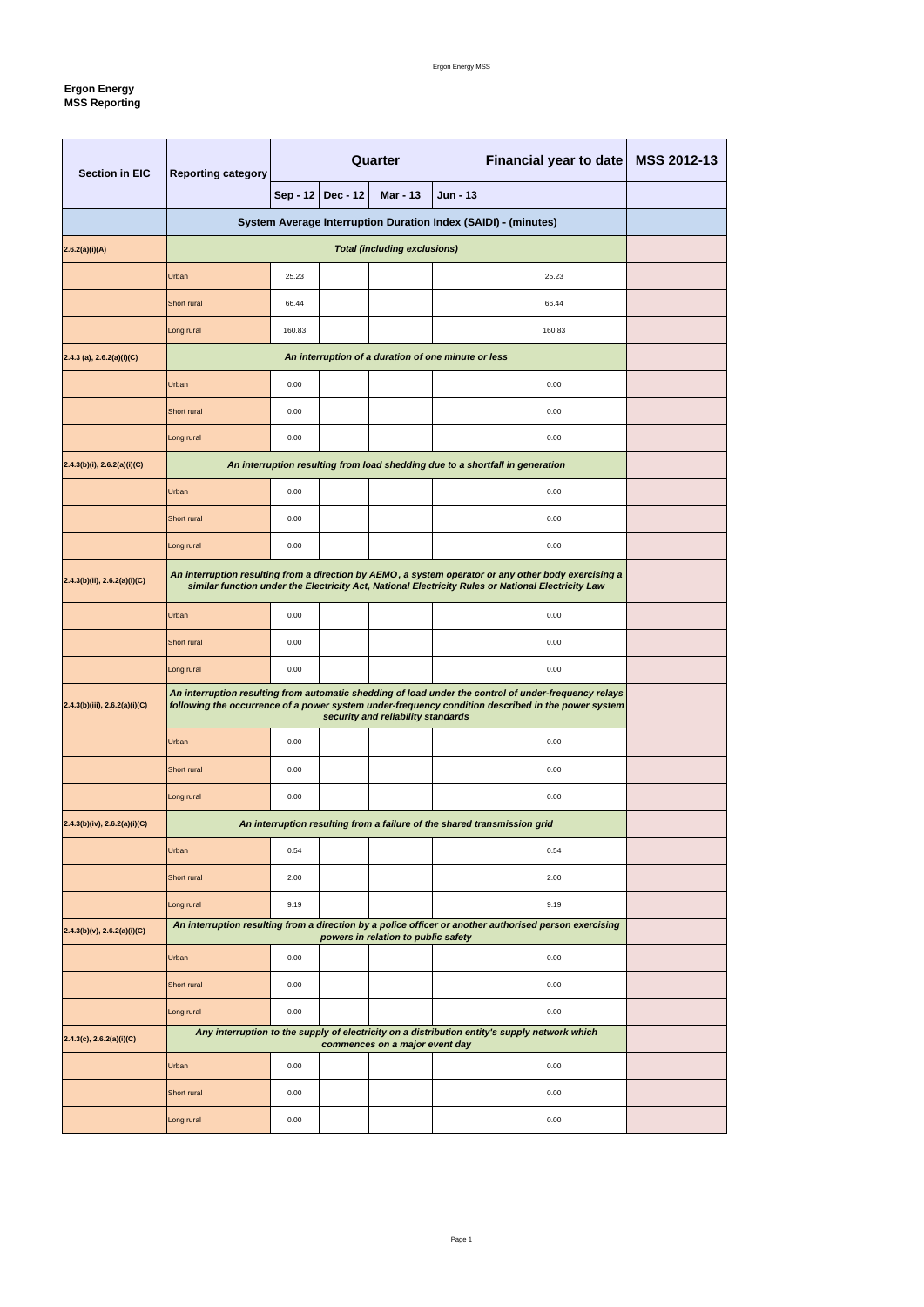### Ergon Energy MSS

# **Ergon Energy MSS Reporting**

| <b>Section in EIC</b>           | <b>Reporting category</b>                                                                                                                                                                                                                         | Quarter      |                 | <b>Financial year to date</b>                       | MSS 2012-13     |                                                                                                        |  |
|---------------------------------|---------------------------------------------------------------------------------------------------------------------------------------------------------------------------------------------------------------------------------------------------|--------------|-----------------|-----------------------------------------------------|-----------------|--------------------------------------------------------------------------------------------------------|--|
|                                 |                                                                                                                                                                                                                                                   | Sep - 12     | <b>Dec - 12</b> | <b>Mar - 13</b>                                     | <b>Jun - 13</b> |                                                                                                        |  |
|                                 | System Average Interruption Duration Index (SAIDI) - (minutes)                                                                                                                                                                                    |              |                 |                                                     |                 |                                                                                                        |  |
| 2.6.2(a)(i)(A)                  |                                                                                                                                                                                                                                                   |              |                 |                                                     |                 |                                                                                                        |  |
|                                 | Urban                                                                                                                                                                                                                                             | 25.23        |                 |                                                     |                 | 25.23                                                                                                  |  |
|                                 | Short rural                                                                                                                                                                                                                                       | 66.44        |                 |                                                     |                 | 66.44                                                                                                  |  |
|                                 | Long rural                                                                                                                                                                                                                                        | 160.83       |                 |                                                     |                 | 160.83                                                                                                 |  |
| $(2.4.3$ (a), 2.6.2(a)(i)(C)    |                                                                                                                                                                                                                                                   |              |                 | An interruption of a duration of one minute or less |                 |                                                                                                        |  |
|                                 | Urban                                                                                                                                                                                                                                             | 0.00         |                 |                                                     |                 | 0.00                                                                                                   |  |
|                                 | Short rural                                                                                                                                                                                                                                       | 0.00         |                 |                                                     |                 | 0.00                                                                                                   |  |
|                                 | Long rural                                                                                                                                                                                                                                        | 0.00         |                 |                                                     |                 | 0.00                                                                                                   |  |
| $2.4.3(b)(i)$ , 2.6.2(a)(i)(C)  |                                                                                                                                                                                                                                                   |              |                 |                                                     |                 | An interruption resulting from load shedding due to a shortfall in generation                          |  |
|                                 | Urban                                                                                                                                                                                                                                             | 0.00         |                 |                                                     |                 | 0.00                                                                                                   |  |
|                                 | Short rural                                                                                                                                                                                                                                       | 0.00         |                 |                                                     |                 | 0.00                                                                                                   |  |
|                                 | Long rural                                                                                                                                                                                                                                        | 0.00         |                 |                                                     |                 | 0.00                                                                                                   |  |
| 2.4.3(b)(ii), 2.6.2(a)(i)(C)    | An interruption resulting from a direction by AEMO, a system operator or any other body exercising a<br>similar function under the Electricity Act, National Electricity Rules or National Electricity Law                                        |              |                 |                                                     |                 |                                                                                                        |  |
|                                 | Urban                                                                                                                                                                                                                                             | 0.00         |                 |                                                     |                 | 0.00                                                                                                   |  |
|                                 | Short rural                                                                                                                                                                                                                                       | 0.00         |                 |                                                     |                 | 0.00                                                                                                   |  |
|                                 | Long rural                                                                                                                                                                                                                                        | 0.00         |                 |                                                     |                 | 0.00                                                                                                   |  |
| (2.4.3(b)(iii), 2.6.2(a)(i)(C)) | An interruption resulting from automatic shedding of load under the control of under-frequency relays<br>following the occurrence of a power system under-frequency condition described in the power system<br>security and reliability standards |              |                 |                                                     |                 |                                                                                                        |  |
|                                 | Urban                                                                                                                                                                                                                                             | 0.00<br>0.00 |                 |                                                     |                 |                                                                                                        |  |
|                                 | Short rural<br>0.00                                                                                                                                                                                                                               |              | 0.00            |                                                     |                 |                                                                                                        |  |
|                                 | Long rural                                                                                                                                                                                                                                        | 0.00         |                 |                                                     |                 | 0.00                                                                                                   |  |
| $2.4.3(b)(iv)$ , 2.6.2(a)(i)(C) |                                                                                                                                                                                                                                                   |              |                 |                                                     |                 | An interruption resulting from a failure of the shared transmission grid                               |  |
|                                 | Urban                                                                                                                                                                                                                                             | 0.54         |                 |                                                     |                 | 0.54                                                                                                   |  |
|                                 | Short rural                                                                                                                                                                                                                                       | 2.00         |                 |                                                     |                 | 2.00                                                                                                   |  |
|                                 | Long rural                                                                                                                                                                                                                                        | 9.19         |                 |                                                     |                 | 9.19                                                                                                   |  |
| $2.4.3(b)(v)$ , 2.6.2(a)(i)(C)  |                                                                                                                                                                                                                                                   |              |                 | powers in relation to public safety                 |                 | An interruption resulting from a direction by a police officer or another authorised person exercising |  |
|                                 | Urban                                                                                                                                                                                                                                             | 0.00         |                 |                                                     |                 | 0.00                                                                                                   |  |
|                                 | Short rural                                                                                                                                                                                                                                       | 0.00         |                 |                                                     |                 | 0.00                                                                                                   |  |
|                                 | Long rural                                                                                                                                                                                                                                        | 0.00         |                 |                                                     |                 | 0.00                                                                                                   |  |
| $2.4.3(c)$ , 2.6.2(a)(i)(C)     |                                                                                                                                                                                                                                                   |              |                 | commences on a major event day                      |                 | Any interruption to the supply of electricity on a distribution entity's supply network which          |  |
|                                 | Urban                                                                                                                                                                                                                                             | 0.00         |                 |                                                     |                 | 0.00                                                                                                   |  |
|                                 | Short rural                                                                                                                                                                                                                                       | 0.00         |                 |                                                     |                 | 0.00                                                                                                   |  |
|                                 | Long rural                                                                                                                                                                                                                                        | 0.00         |                 |                                                     |                 | 0.00                                                                                                   |  |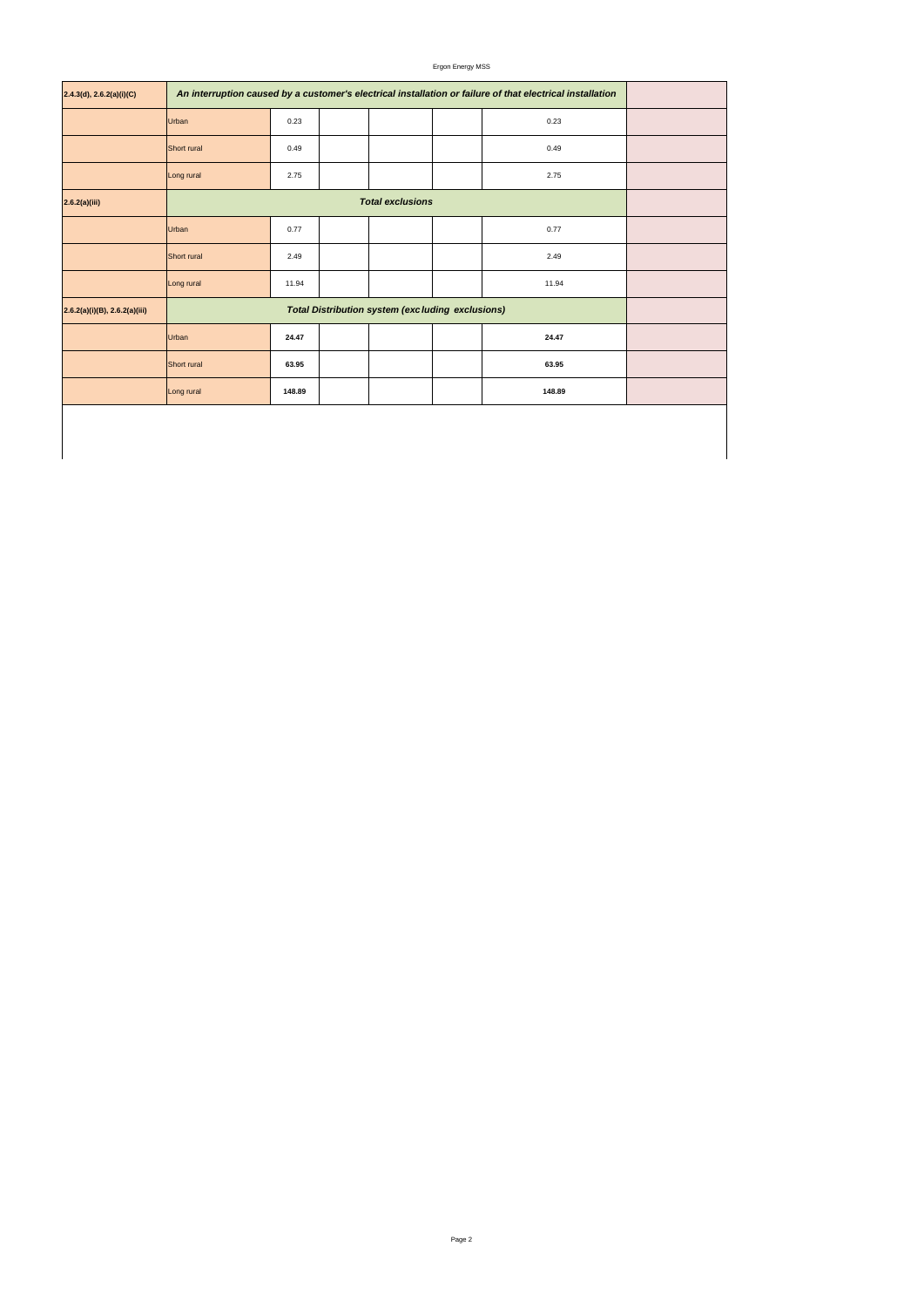Ergon Energy MSS

| 2.4.3(d), 2.6.2(a)(i)(C)         | An interruption caused by a customer's electrical installation or failure of that electrical installation |        |  |        |  |
|----------------------------------|-----------------------------------------------------------------------------------------------------------|--------|--|--------|--|
|                                  | Urban                                                                                                     | 0.23   |  | 0.23   |  |
|                                  | Short rural                                                                                               | 0.49   |  | 0.49   |  |
|                                  | Long rural                                                                                                | 2.75   |  | 2.75   |  |
| 2.6.2(a)(iii)                    |                                                                                                           |        |  |        |  |
|                                  | Urban                                                                                                     | 0.77   |  | 0.77   |  |
|                                  | Short rural                                                                                               | 2.49   |  | 2.49   |  |
|                                  | Long rural                                                                                                | 11.94  |  | 11.94  |  |
| $2.6.2(a)(i)(B)$ , 2.6.2(a)(iii) |                                                                                                           |        |  |        |  |
|                                  | Urban                                                                                                     | 24.47  |  | 24.47  |  |
|                                  | Short rural                                                                                               | 63.95  |  | 63.95  |  |
|                                  | Long rural                                                                                                | 148.89 |  | 148.89 |  |
|                                  |                                                                                                           |        |  |        |  |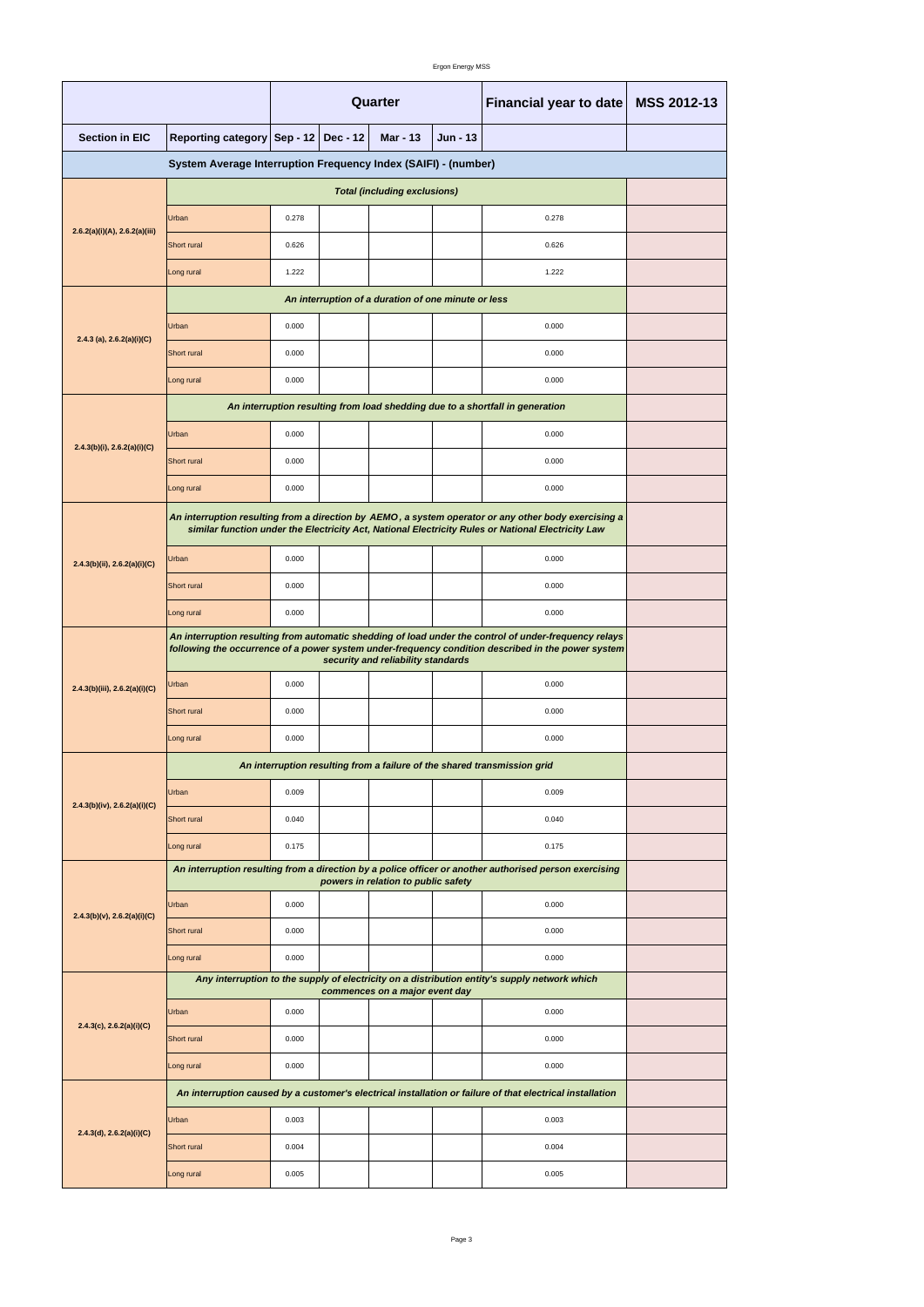|                                                                |                                                                                                                                                                                                                                                   | Quarter |                 |                                                     |          | Financial year to date                                                                                                                                                                                     | <b>MSS 2012-13</b> |  |  |
|----------------------------------------------------------------|---------------------------------------------------------------------------------------------------------------------------------------------------------------------------------------------------------------------------------------------------|---------|-----------------|-----------------------------------------------------|----------|------------------------------------------------------------------------------------------------------------------------------------------------------------------------------------------------------------|--------------------|--|--|
| <b>Section in EIC</b>                                          | Reporting category Sep - 12                                                                                                                                                                                                                       |         | <b>Dec - 12</b> | <b>Mar - 13</b>                                     | Jun - 13 |                                                                                                                                                                                                            |                    |  |  |
| System Average Interruption Frequency Index (SAIFI) - (number) |                                                                                                                                                                                                                                                   |         |                 |                                                     |          |                                                                                                                                                                                                            |                    |  |  |
|                                                                |                                                                                                                                                                                                                                                   |         |                 | <b>Total (including exclusions)</b>                 |          |                                                                                                                                                                                                            |                    |  |  |
|                                                                | <b>Urban</b>                                                                                                                                                                                                                                      | 0.278   |                 |                                                     |          | 0.278                                                                                                                                                                                                      |                    |  |  |
| 2.6.2(a)(i)(A), 2.6.2(a)(iii)                                  | Short rural                                                                                                                                                                                                                                       | 0.626   |                 |                                                     |          | 0.626                                                                                                                                                                                                      |                    |  |  |
|                                                                | Long rural                                                                                                                                                                                                                                        | 1.222   |                 |                                                     |          | 1.222                                                                                                                                                                                                      |                    |  |  |
|                                                                |                                                                                                                                                                                                                                                   |         |                 | An interruption of a duration of one minute or less |          |                                                                                                                                                                                                            |                    |  |  |
|                                                                | Urban                                                                                                                                                                                                                                             | 0.000   |                 |                                                     |          | 0.000                                                                                                                                                                                                      |                    |  |  |
| 2.4.3 (a), $2.6.2(a)(i)(C)$                                    | Short rural                                                                                                                                                                                                                                       | 0.000   |                 |                                                     |          | 0.000                                                                                                                                                                                                      |                    |  |  |
|                                                                | Long rural                                                                                                                                                                                                                                        | 0.000   |                 |                                                     |          | 0.000                                                                                                                                                                                                      |                    |  |  |
|                                                                |                                                                                                                                                                                                                                                   |         |                 |                                                     |          | An interruption resulting from load shedding due to a shortfall in generation                                                                                                                              |                    |  |  |
|                                                                | Urban                                                                                                                                                                                                                                             | 0.000   |                 |                                                     |          | 0.000                                                                                                                                                                                                      |                    |  |  |
| $2.4.3(b)(i)$ , $2.6.2(a)(i)(C)$                               | Short rural                                                                                                                                                                                                                                       | 0.000   |                 |                                                     |          | 0.000                                                                                                                                                                                                      |                    |  |  |
|                                                                | Long rural                                                                                                                                                                                                                                        | 0.000   |                 |                                                     |          | 0.000                                                                                                                                                                                                      |                    |  |  |
|                                                                |                                                                                                                                                                                                                                                   |         |                 |                                                     |          | An interruption resulting from a direction by AEMO, a system operator or any other body exercising a<br>similar function under the Electricity Act, National Electricity Rules or National Electricity Law |                    |  |  |
| $2.4.3(b)(ii)$ , $2.6.2(a)(i)(C)$                              | <b>Urban</b>                                                                                                                                                                                                                                      | 0.000   |                 |                                                     |          | 0.000                                                                                                                                                                                                      |                    |  |  |
|                                                                | <b>Short</b> rural                                                                                                                                                                                                                                | 0.000   |                 |                                                     |          | 0.000                                                                                                                                                                                                      |                    |  |  |
|                                                                | Long rural                                                                                                                                                                                                                                        | 0.000   |                 |                                                     |          | 0.000                                                                                                                                                                                                      |                    |  |  |
|                                                                | An interruption resulting from automatic shedding of load under the control of under-frequency relays<br>following the occurrence of a power system under-frequency condition described in the power system<br>security and reliability standards |         |                 |                                                     |          |                                                                                                                                                                                                            |                    |  |  |
| 2.4.3(b)(iii), 2.6.2(a)(i)(C)                                  | Urban                                                                                                                                                                                                                                             | 0.000   |                 |                                                     |          | 0.000                                                                                                                                                                                                      |                    |  |  |
|                                                                | Short rural                                                                                                                                                                                                                                       | 0.000   |                 |                                                     |          | 0.000                                                                                                                                                                                                      |                    |  |  |
|                                                                | Long rural                                                                                                                                                                                                                                        | 0.000   |                 |                                                     |          | 0.000                                                                                                                                                                                                      |                    |  |  |
|                                                                |                                                                                                                                                                                                                                                   |         |                 |                                                     |          | An interruption resulting from a failure of the shared transmission grid                                                                                                                                   |                    |  |  |
|                                                                | <b>Urban</b>                                                                                                                                                                                                                                      | 0.009   |                 |                                                     |          | 0.009                                                                                                                                                                                                      |                    |  |  |
| 2.4.3(b)(iv), 2.6.2(a)(i)(C)                                   | Short rural                                                                                                                                                                                                                                       | 0.040   |                 |                                                     |          | 0.040                                                                                                                                                                                                      |                    |  |  |
|                                                                | Long rural                                                                                                                                                                                                                                        | 0.175   |                 |                                                     |          | 0.175                                                                                                                                                                                                      |                    |  |  |
|                                                                | An interruption resulting from a direction by a police officer or another authorised person exercising                                                                                                                                            |         |                 |                                                     |          |                                                                                                                                                                                                            |                    |  |  |
| $2.4.3(b)(v)$ , $2.6.2(a)(i)(C)$                               | <b>Urban</b>                                                                                                                                                                                                                                      | 0.000   |                 |                                                     |          | 0.000                                                                                                                                                                                                      |                    |  |  |
|                                                                | Short rural                                                                                                                                                                                                                                       | 0.000   |                 |                                                     |          | 0.000                                                                                                                                                                                                      |                    |  |  |
|                                                                | Long rural                                                                                                                                                                                                                                        | 0.000   |                 |                                                     |          | 0.000                                                                                                                                                                                                      |                    |  |  |
|                                                                |                                                                                                                                                                                                                                                   |         |                 | commences on a major event day                      |          | Any interruption to the supply of electricity on a distribution entity's supply network which                                                                                                              |                    |  |  |
| $2.4.3(c)$ , $2.6.2(a)(i)(C)$                                  | Urban                                                                                                                                                                                                                                             | 0.000   |                 |                                                     |          | 0.000                                                                                                                                                                                                      |                    |  |  |
|                                                                | Short rural                                                                                                                                                                                                                                       | 0.000   |                 |                                                     |          | 0.000                                                                                                                                                                                                      |                    |  |  |
|                                                                | Long rural                                                                                                                                                                                                                                        | 0.000   |                 |                                                     |          | 0.000                                                                                                                                                                                                      |                    |  |  |
|                                                                |                                                                                                                                                                                                                                                   |         |                 |                                                     |          | An interruption caused by a customer's electrical installation or failure of that electrical installation                                                                                                  |                    |  |  |
| 2.4.3(d), 2.6.2(a)(i)(C)                                       | <b>Urban</b>                                                                                                                                                                                                                                      | 0.003   |                 |                                                     |          | 0.003                                                                                                                                                                                                      |                    |  |  |
|                                                                | Short rural                                                                                                                                                                                                                                       | 0.004   |                 |                                                     |          | 0.004                                                                                                                                                                                                      |                    |  |  |
|                                                                | Long rural                                                                                                                                                                                                                                        | 0.005   |                 |                                                     |          | 0.005                                                                                                                                                                                                      |                    |  |  |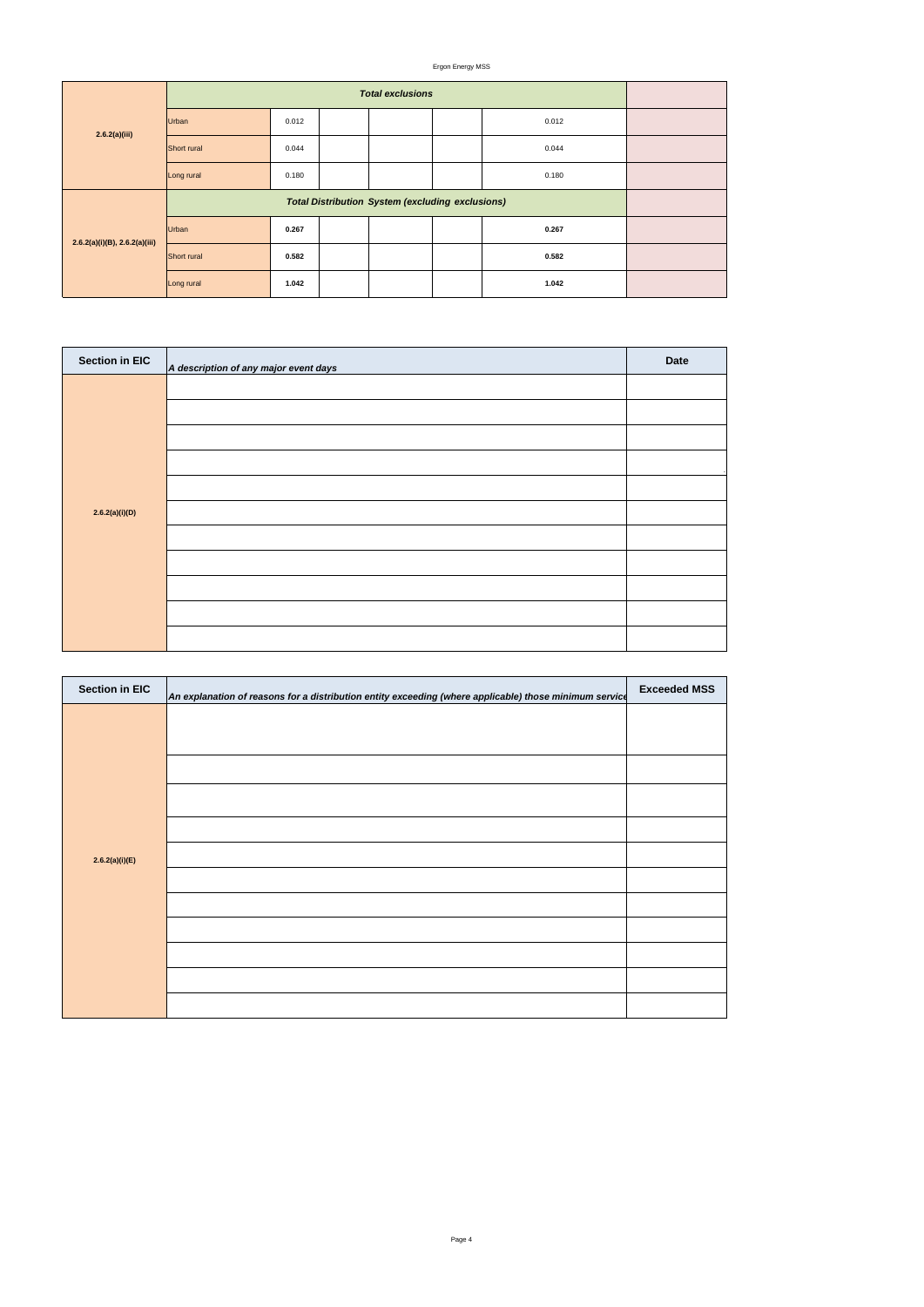### Ergon Energy MSS

| <b>Section in EIC</b> | An explanation of reasons for a distribution entity exceeding (where applicable) those minimum service | <b>Exceeded MSS</b> |
|-----------------------|--------------------------------------------------------------------------------------------------------|---------------------|
|                       |                                                                                                        |                     |
|                       |                                                                                                        |                     |
|                       |                                                                                                        |                     |
|                       |                                                                                                        |                     |
|                       |                                                                                                        |                     |
| 2.6.2(a)(i)(E)        |                                                                                                        |                     |
|                       |                                                                                                        |                     |
|                       |                                                                                                        |                     |
|                       |                                                                                                        |                     |
|                       |                                                                                                        |                     |
|                       |                                                                                                        |                     |

| 2.6.2(a)(iii)                      |             |       |  |       |  |
|------------------------------------|-------------|-------|--|-------|--|
|                                    | Urban       | 0.012 |  | 0.012 |  |
|                                    | Short rural | 0.044 |  | 0.044 |  |
|                                    | Long rural  | 0.180 |  | 0.180 |  |
|                                    |             |       |  |       |  |
| $2.6.2(a)(i)(B)$ , $2.6.2(a)(iii)$ | Urban       | 0.267 |  | 0.267 |  |
|                                    | Short rural | 0.582 |  | 0.582 |  |
|                                    | Long rural  | 1.042 |  | 1.042 |  |

| <b>Section in EIC</b> | A description of any major event days | <b>Date</b> |
|-----------------------|---------------------------------------|-------------|
|                       |                                       |             |
|                       |                                       |             |
|                       |                                       |             |
|                       |                                       |             |
|                       |                                       |             |
| 2.6.2(a)(i)(D)        |                                       |             |
|                       |                                       |             |
|                       |                                       |             |
|                       |                                       |             |
|                       |                                       |             |
|                       |                                       |             |